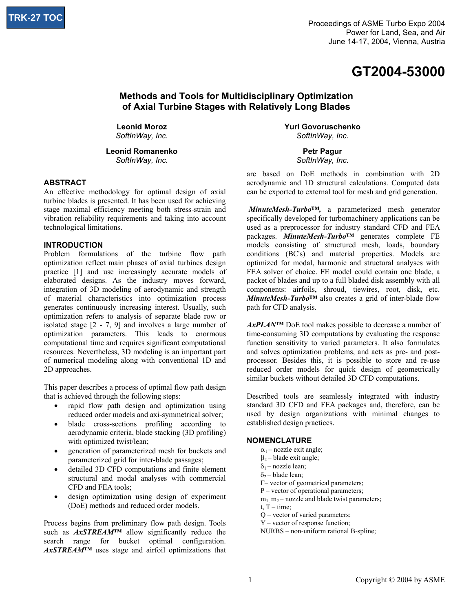

# **GT2004-53379**

# **Methods and Tools for Multidisciplinary Optimization of Axial Turbine Stages with Relatively Long Blades**

**Leonid Moroz** *SoftInWay, Inc.*

**Leonid Romanenko**  *SoftInWay, Inc.*

# **ABSTRACT**

An effective methodology for optimal design of axial turbine blades is presented. It has been used for achieving stage maximal efficiency meeting both stress-strain and vibration reliability requirements and taking into account technological limitations.

# **INTRODUCTION**

Problem formulations of the turbine flow path optimization reflect main phases of axial turbines design practice [1] and use increasingly accurate models of elaborated designs. As the industry moves forward, integration of 3D modeling of aerodynamic and strength of material characteristics into optimization process generates continuously increasing interest. Usually, such optimization refers to analysis of separate blade row or isolated stage [2 - 7, 9] and involves a large number of optimization parameters. This leads to enormous computational time and requires significant computational resources. Nevertheless, 3D modeling is an important part of numerical modeling along with conventional 1D and 2D approaches.

This paper describes a process of optimal flow path design that is achieved through the following steps:

- rapid flow path design and optimization using reduced order models and axi-symmetrical solver;
- blade cross-sections profiling according to aerodynamic criteria, blade stacking (3D profiling) with optimized twist/lean;
- generation of parameterized mesh for buckets and parameterized grid for inter-blade passages;
- detailed 3D CFD computations and finite element structural and modal analyses with commercial CFD and FEA tools;
- design optimization using design of experiment (DoE) methods and reduced order models.

Process begins from preliminary flow path design. Tools such as *AxSTREAM™* allow significantly reduce the search range for bucket optimal configuration. *AxSTREAM™* uses stage and airfoil optimizations that **Yuri Govorusсhenko**  *SoftInWay, Inc.*

> **Petr Pagur**  *SoftInWay, Inc.*

are based on DoE methods in combination with 2D aerodynamic and 1D structural calculations. Computed data can be exported to external tool for mesh and grid generation.

*MinuteMesh-Turbo™,* a parameterized mesh generator specifically developed for turbomachinery applications can be used as a preprocessor for industry standard CFD and FEA packages. *MinuteMesh-Turbo™* generates complete FE models consisting of structured mesh, loads, boundary conditions (BC's) and material properties. Models are optimized for modal, harmonic and structural analyses with FEA solver of choice. FE model could contain one blade, a packet of blades and up to a full bladed disk assembly with all components: airfoils, shroud, tiewires, root, disk, etc. *MinuteMesh-Turbo™* also creates a grid of inter-blade flow path for CFD analysis.

*AxPLAN™* DoE tool makes possible to decrease a number of time-consuming 3D computations by evaluating the response function sensitivity to varied parameters. It also formulates and solves optimization problems, and acts as pre- and postprocessor. Besides this, it is possible to store and re-use reduced order models for quick design of geometrically similar buckets without detailed 3D CFD computations.

Described tools are seamlessly integrated with industry standard 3D CFD and FEA packages and, therefore, can be used by design organizations with minimal changes to established design practices.

#### **NOMENCLATURE**

- $\alpha_1$  nozzle exit angle;
- $\beta_2$  blade exit angle;
- $\delta_1$  nozzle lean;
- $\delta_2$  blade lean;
- Г– vector of geometrical parameters;
- P vector of operational parameters;
- $m_1$ ,  $m_2$  nozzle and blade twist parameters;
- $t, T time;$
- Q vector of varied parameters;
- Y vector of response function;
- NURBS non-uniform rational B-spline;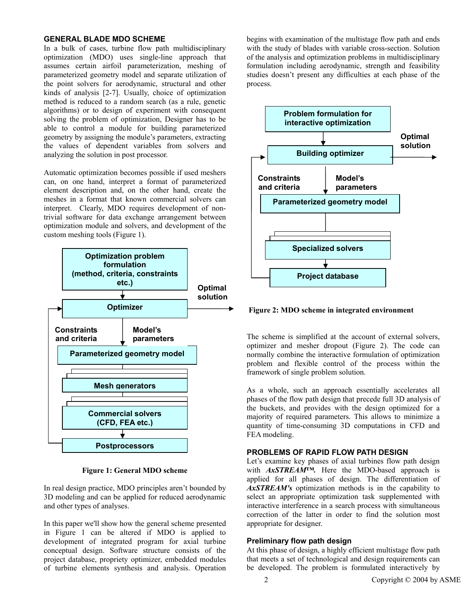# **GENERAL BLADE MDO SCHEME**

In a bulk of cases, turbine flow path multidisciplinary optimization (MDO) uses single-line approach that assumes certain airfoil parameterization, meshing of parameterized geometry model and separate utilization of the point solvers for aerodynamic, structural and other kinds of analysis [2-7]. Usually, choice of optimization method is reduced to a random search (as a rule, genetic algorithms) or to design of experiment with consequent solving the problem of optimization, Designer has to be able to control a module for building parameterized geometry by assigning the module's parameters, extracting the values of dependent variables from solvers and analyzing the solution in post processor.

Automatic optimization becomes possible if used meshers can, on one hand, interpret a format of parameterized element description and, on the other hand, create the meshes in a format that known commercial solvers can interpret. Clearly, MDO requires development of nontrivial software for data exchange arrangement between optimization module and solvers, and development of the custom meshing tools (Figure 1).



**Figure 1: General MDO scheme** 

In real design practice, MDO principles aren't bounded by 3D modeling and can be applied for reduced aerodynamic and other types of analyses.

In this paper we'll show how the general scheme presented in Figure 1 can be altered if MDO is applied to development of integrated program for axial turbine conceptual design. Software structure consists of the project database, propriety optimizer, embedded modules of turbine elements synthesis and analysis. Operation begins with examination of the multistage flow path and ends with the study of blades with variable cross-section. Solution of the analysis and optimization problems in multidisciplinary formulation including aerodynamic, strength and feasibility studies doesn't present any difficulties at each phase of the process.



**Figure 2: MDO scheme in integrated environment**

The scheme is simplified at the account of external solvers, optimizer and mesher dropout (Figure 2). The code can normally combine the interactive formulation of optimization problem and flexible control of the process within the framework of single problem solution.

As a whole, such an approach essentially accelerates all phases of the flow path design that precede full 3D analysis of the buckets, and provides with the design optimized for a majority of required parameters. This allows to minimize a quantity of time-consuming 3D computations in CFD and FEA modeling.

# **PROBLEMS OF RAPID FLOW PATH DESIGN**

Let's examine key phases of axial turbines flow path design with *AxSTREAM™.* Here the MDO-based approach is applied for all phases of design. The differentiation of *AxSTREAM's* optimization methods is in the capability to select an appropriate optimization task supplemented with interactive interference in a search process with simultaneous correction of the latter in order to find the solution most appropriate for designer.

# **Preliminary flow path design**

At this phase of design, a highly efficient multistage flow path that meets a set of technological and design requirements can be developed. The problem is formulated interactively by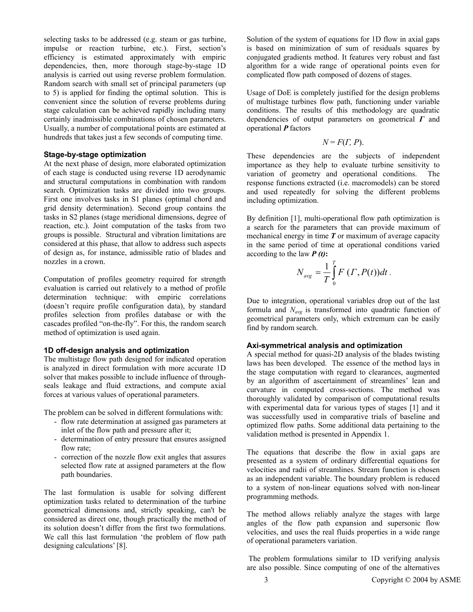selecting tasks to be addressed (e.g. steam or gas turbine, impulse or reaction turbine, etc.). First, section's efficiency is estimated approximately with empiric dependencies, then, more thorough stage-by-stage 1D analysis is carried out using reverse problem formulation. Random search with small set of principal parameters (up to 5) is applied for finding the optimal solution. This is convenient since the solution of reverse problems during stage calculation can be achieved rapidly including many certainly inadmissible combinations of chosen parameters. Usually, a number of computational points are estimated at hundreds that takes just a few seconds of computing time.

#### **Stage-by-stage optimization**

At the next phase of design, more elaborated optimization of each stage is conducted using reverse 1D aerodynamic and structural computations in combination with random search. Optimization tasks are divided into two groups. First one involves tasks in S1 planes (optimal chord and grid density determination). Second group contains the tasks in S2 planes (stage meridional dimensions, degree of reaction, etc.). Joint computation of the tasks from two groups is possible. Structural and vibration limitations are considered at this phase, that allow to address such aspects of design as, for instance, admissible ratio of blades and nozzles in a crown.

Computation of profiles geometry required for strength evaluation is carried out relatively to a method of profile determination technique: with empiric correlations (doesn't require profile configuration data), by standard profiles selection from profiles database or with the cascades profiled "on-the-fly". For this, the random search method of optimization is used again.

#### **1D off-design analysis and optimization**

The multistage flow path designed for indicated operation is analyzed in direct formulation with more accurate 1D solver that makes possible to include influence of throughseals leakage and fluid extractions, and compute axial forces at various values of operational parameters.

The problem can be solved in different formulations with:

- flow rate determination at assigned gas parameters at inlet of the flow path and pressure after it;
- determination of entry pressure that ensures assigned flow rate;
- correction of the nozzle flow exit angles that assures selected flow rate at assigned parameters at the flow path boundaries.

The last formulation is usable for solving different optimization tasks related to determination of the turbine geometrical dimensions and, strictly speaking, can't be considered as direct one, though practically the method of its solution doesn't differ from the first two formulations. We call this last formulation 'the problem of flow path designing calculations' [8].

Solution of the system of equations for 1D flow in axial gaps is based on minimization of sum of residuals squares by conjugated gradients method. It features very robust and fast algorithm for a wide range of operational points even for complicated flow path composed of dozens of stages.

Usage of DoE is completely justified for the design problems of multistage turbines flow path, functioning under variable conditions. The results of this methodology are quadratic dependencies of output parameters on geometrical *Г* and operational *P* factors

$$
N = F(\Gamma, P).
$$

These dependencies are the subjects of independent importance as they help to evaluate turbine sensitivity to variation of geometry and operational conditions. The response functions extracted (i.e. macromodels) can be stored and used repeatedly for solving the different problems including optimization.

By definition [1], multi-operational flow path optimization is a search for the parameters that can provide maximum of mechanical energy in time *T* or maximum of average capacity in the same period of time at operational conditions varied according to the law *Р (t)***:**

$$
N_{avg} = \frac{1}{T} \int_{0}^{T} F\left(\Gamma, P(t)\right) dt.
$$

Due to integration, operational variables drop out of the last formula and *Navg* is transformed into quadratic function of geometrical parameters only, which extremum can be easily find by random search.

#### **Axi-symmetrical analysis and optimization**

A special method for quasi-2D analysis of the blades twisting laws has been developed. The essence of the method lays in the stage computation with regard to clearances, augmented by an algorithm of ascertainment of streamlines' lean and curvature in computed cross-sections. The method was thoroughly validated by comparison of computational results with experimental data for various types of stages [1] and it was successfully used in comparative trials of baseline and optimized flow paths. Some additional data pertaining to the validation method is presented in Appendix 1.

The equations that describe the flow in axial gaps are presented as a system of ordinary differential equations for velocities and radii of streamlines. Stream function is chosen as an independent variable. The boundary problem is reduced to a system of non-linear equations solved with non-linear programming methods.

The method allows reliably analyze the stages with large angles of the flow path expansion and supersonic flow velocities, and uses the real fluids properties in a wide range of operational parameters variation.

 The problem formulations similar to 1D verifying analysis are also possible. Since computing of one of the alternatives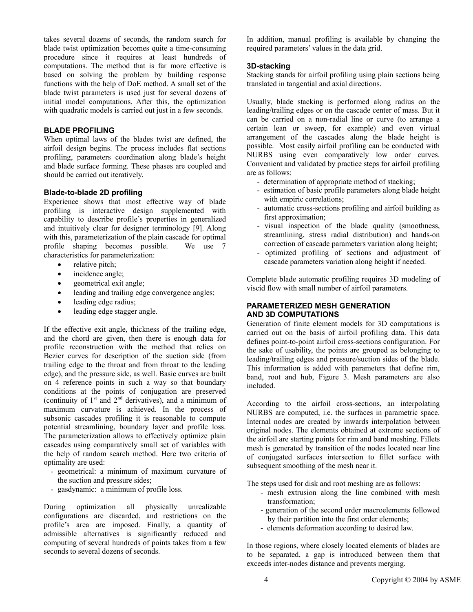takes several dozens of seconds, the random search for blade twist optimization becomes quite a time-consuming procedure since it requires at least hundreds of computations. The method that is far more effective is based on solving the problem by building response functions with the help of DoE method. A small set of the blade twist parameters is used just for several dozens of initial model computations. After this, the optimization with quadratic models is carried out just in a few seconds.

#### **BLADE PROFILING**

When optimal laws of the blades twist are defined, the airfoil design begins. The process includes flat sections profiling, parameters coordination along blade's height and blade surface forming. These phases are coupled and should be carried out iteratively.

#### **Blade-to-blade 2D profiling**

Experience shows that most effective way of blade profiling is interactive design supplemented with capability to describe profile's properties in generalized and intuitively clear for designer terminology [9]. Along with this, parameterization of the plain cascade for optimal profile shaping becomes possible. We use 7 characteristics for parameterization:

- relative pitch;
- incidence angle:
- geometrical exit angle;
- leading and trailing edge convergence angles;
- leading edge radius;
- leading edge stagger angle.

If the effective exit angle, thickness of the trailing edge, and the chord are given, then there is enough data for profile reconstruction with the method that relies on Bezier curves for description of the suction side (from trailing edge to the throat and from throat to the leading edge), and the pressure side, as well. Basic curves are built on 4 reference points in such a way so that boundary conditions at the points of conjugation are preserved (continuity of  $1<sup>st</sup>$  and  $2<sup>nd</sup>$  derivatives), and a minimum of maximum curvature is achieved. In the process of subsonic cascades profiling it is reasonable to compute potential streamlining, boundary layer and profile loss. The parameterization allows to effectively optimize plain cascades using comparatively small set of variables with the help of random search method. Here two criteria of optimality are used:

- geometrical: a minimum of maximum curvature of the suction and pressure sides;
- gasdynamic: a minimum of profile loss.

During optimization all physically unrealizable configurations are discarded, and restrictions on the profile's area are imposed. Finally, a quantity of admissible alternatives is significantly reduced and computing of several hundreds of points takes from a few seconds to several dozens of seconds.

In addition, manual profiling is available by changing the required parameters' values in the data grid.

# **3D-stacking**

Stacking stands for airfoil profiling using plain sections being translated in tangential and axial directions.

Usually, blade stacking is performed along radius on the leading/trailing edges or on the cascade center of mass. But it can be carried on a non-radial line or curve (to arrange a certain lean or sweep, for example) and even virtual arrangement of the cascades along the blade height is possible. Most easily airfoil profiling can be conducted with NURBS using even comparatively low order curves. Convenient and validated by practice steps for airfoil profiling are as follows:

- determination of appropriate method of stacking;
- estimation of basic profile parameters along blade height with empiric correlations;
- automatic cross-sections profiling and airfoil building as first approximation;
- visual inspection of the blade quality (smoothness, streamlining, stress radial distribution) and hands-on correction of cascade parameters variation along height;
- optimized profiling of sections and adjustment of cascade parameters variation along height if needed.

Complete blade automatic profiling requires 3D modeling of viscid flow with small number of airfoil parameters.

# **PARAMETERIZED MESH GENERATION AND 3D COMPUTATIONS**

Generation of finite element models for 3D computations is carried out on the basis of airfoil profiling data. This data defines point-to-point airfoil cross-sections configuration. For the sake of usability, the points are grouped as belonging to leading/trailing edges and pressure/suction sides of the blade. This information is added with parameters that define rim, band, root and hub, Figure 3. Mesh parameters are also included.

According to the airfoil cross-sections, an interpolating NURBS are computed, i.e. the surfaces in parametric space. Internal nodes are created by inwards interpolation between original nodes. The elements obtained at extreme sections of the airfoil are starting points for rim and band meshing. Fillets mesh is generated by transition of the nodes located near line of conjugated surfaces intersection to fillet surface with subsequent smoothing of the mesh near it.

The steps used for disk and root meshing are as follows:

- mesh extrusion along the line combined with mesh transformation;
- generation of the second order macroelements followed by their partition into the first order elements;
- elements deformation according to desired law.

In those regions, where closely located elements of blades are to be separated, a gap is introduced between them that exceeds inter-nodes distance and prevents merging.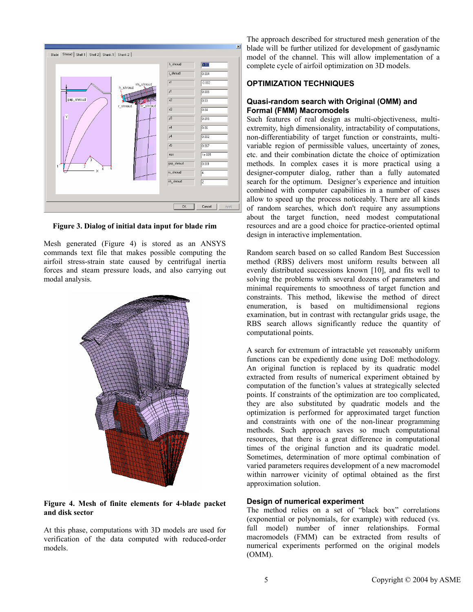

**Figure 3. Dialog of initial data input for blade rim** 

Mesh generated (Figure 4) is stored as an ANSYS commands text file that makes possible computing the airfoil stress-strain state caused by centrifugal inertia forces and steam pressure loads, and also carrying out modal analysis.



# **Figure 4. Mesh of finite elements for 4-blade packet and disk sector**

At this phase, computations with 3D models are used for verification of the data computed with reduced-order models.

The approach described for structured mesh generation of the blade will be further utilized for development of gasdynamic model of the channel. This will allow implementation of a complete cycle of airfoil optimization on 3D models.

# **OPTIMIZATION TECHNIQUES**

#### **Quasi***-***random search with Original (OMM) and Formal (FMM) Macromodels**

Such features of real design as multi-objectiveness, multiextremity, high dimensionality, intractability of computations, non-differentiability of target function or constraints, multivariable region of permissible values, uncertainty of zones, etc. and their combination dictate the choice of optimization methods. In complex cases it is more practical using a designer-computer dialog, rather than a fully automated search for the optimum. Designer's experience and intuition combined with computer capabilities in a number of cases allow to speed up the process noticeably. There are all kinds of random searches, which don't require any assumptions about the target function, need modest computational resources and are a good choice for practice-oriented optimal design in interactive implementation.

Random search based on so called Random Best Succession method (RBS) delivers most uniform results between all evenly distributed successions known [10], and fits well to solving the problems with several dozens of parameters and minimal requirements to smoothness of target function and constraints. This method, likewise the method of direct enumeration, is based on multidimensional regions examination, but in contrast with rectangular grids usage, the RBS search allows significantly reduce the quantity of computational points.

A search for extremum of intractable yet reasonably uniform functions can be expediently done using DoE methodology. An original function is replaced by its quadratic model extracted from results of numerical experiment obtained by computation of the function's values at strategically selected points. If constraints of the optimization are too complicated, they are also substituted by quadratic models and the optimization is performed for approximated target function and constraints with one of the non-linear programming methods. Such approach saves so much computational resources, that there is a great difference in computational times of the original function and its quadratic model. Sometimes, determination of more optimal combination of varied parameters requires development of a new macromodel within narrower vicinity of optimal obtained as the first approximation solution.

# **Design of numerical experiment**

The method relies on a set of "black box" correlations (exponential or polynomials, for example) with reduced (vs. full model) number of inner relationships. Formal macromodels (FMM) can be extracted from results of numerical experiments performed on the original models (OMM).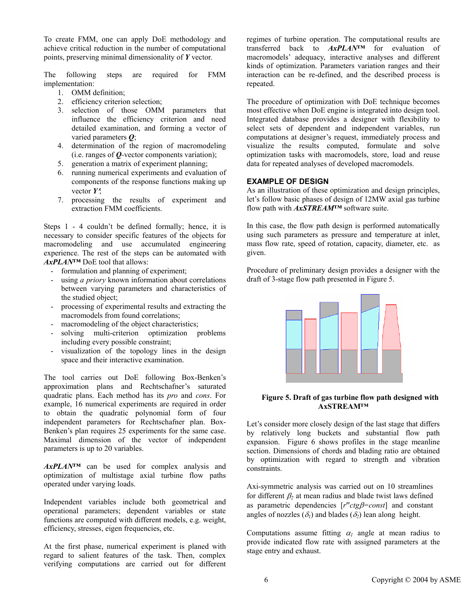To create FMM, one can apply DoE methodology and achieve critical reduction in the number of computational points, preserving minimal dimensionality of *Y* vector.

The following steps are required for FMM implementation:

- 1. OMM definition;
- 2. efficiency criterion selection;
- 3. selection of those OMM parameters that influence the efficiency criterion and need detailed examination, and forming a vector of varied parameters *Q*;
- 4. determination of the region of macromodeling (i.e. ranges of *Q-*vector components variation);
- 5. generation a matrix of experiment planning;
- 6. running numerical experiments and evaluation of components of the response functions making up vector *Y*′;
- 7. processing the results of experiment and extraction FMM coefficients.

Steps 1 - 4 couldn't be defined formally; hence, it is necessary to consider specific features of the objects for macromodeling and use accumulated engineering experience. The rest of the steps can be automated with *AxPLAN™* DoE tool that allows:

- formulation and planning of experiment;
- using *a priory* known information about correlations between varying parameters and characteristics of the studied object;
- processing of experimental results and extracting the macromodels from found correlations;
- macromodeling of the object characteristics:
- solving multi-criterion optimization problems including every possible constraint;
- visualization of the topology lines in the design space and their interactive examination.

The tool carries out DoE following Box-Benken's approximation plans and Rechtschafner's saturated quadratic plans. Each method has its *pro* and *cons*. For example, 16 numerical experiments are required in order to obtain the quadratic polynomial form of four independent parameters for Rechtschafner plan. Box-Benken's plan requires 25 experiments for the same case. Maximal dimension of the vector of independent parameters is up to 20 variables.

*AxPLAN™* can be used for complex analysis and optimization of multistage axial turbine flow paths operated under varying loads.

Independent variables include both geometrical and operational parameters; dependent variables or state functions are computed with different models, e.g. weight, efficiency, stresses, eigen frequencies, etc.

At the first phase, numerical experiment is planed with regard to salient features of the task. Then, complex verifying computations are carried out for different

regimes of turbine operation. The computational results are transferred back to *AxPLAN™* for evaluation of macromodels' adequacy, interactive analyses and different kinds of optimization. Parameters variation ranges and their interaction can be re-defined, and the described process is repeated.

The procedure of optimization with DoE technique becomes most effective when DoE engine is integrated into design tool. Integrated database provides a designer with flexibility to select sets of dependent and independent variables, run computations at designer's request, immediately process and visualize the results computed, formulate and solve optimization tasks with macromodels, store, load and reuse data for repeated analyses of developed macromodels.

#### **EXAMPLE OF DESIGN**

As an illustration of these optimization and design principles, let's follow basic phases of design of 12MW axial gas turbine flow path with *AxSTREAM™* software suite.

In this case, the flow path design is performed automatically using such parameters as pressure and temperature at inlet, mass flow rate, speed of rotation, capacity, diameter, etc. as given.

Procedure of preliminary design provides a designer with the draft of 3-stage flow path presented in Figure 5.



# **Figure 5. Draft of gas turbine flow path designed with AxSTREAM™**

Let's consider more closely design of the last stage that differs by relatively long buckets and substantial flow path expansion. Figure 6 shows profiles in the stage meanline section. Dimensions of chords and blading ratio are obtained by optimization with regard to strength and vibration constraints.

Axi-symmetric analysis was carried out on 10 streamlines for different  $\beta_2$  at mean radius and blade twist laws defined as parametric dependencies [*r mctg*β*=const*] and constant angles of nozzles  $(\delta_i)$  and blades  $(\delta_2)$  lean along height.

Computations assume fitting  $\alpha_l$  angle at mean radius to provide indicated flow rate with assigned parameters at the stage entry and exhaust.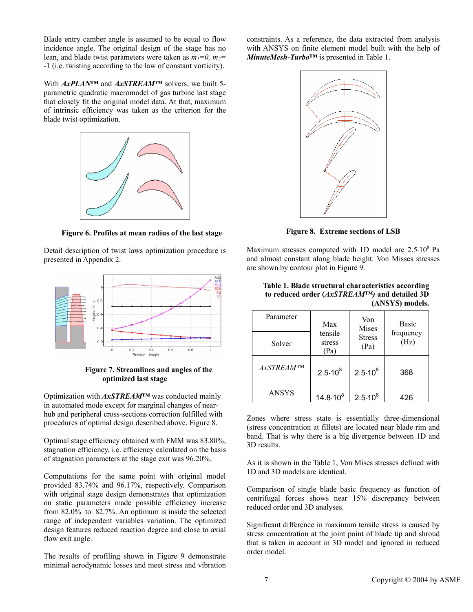Blade entry camber angle is assumed to be equal to flow incidence angle. The original design of the stage has no lean, and blade twist parameters were taken as  $m_1=0$ ,  $m_2=$ *-*1 (i.e. twisting according to the law of constant vorticity).

With *AxPLAN™* and *AxSTREAM™* solvers, we built 5 parametric quadratic macromodel of gas turbine last stage that closely fit the original model data. At that, maximum of intrinsic efficiency was taken as the criterion for the blade twist optimization.



**Figure 6. Profiles at mean radius of the last stage** 

Detail description of twist laws optimization procedure is presented in Appendix 2.



**Figure 7. Streamlines and angles of the optimized last stage** 

Optimization with *AxSTREAM™* was conducted mainly in automated mode except for marginal changes of nearhub and peripheral cross-sections correction fulfilled with procedures of optimal design described above, Figure 8.

Optimal stage efficiency obtained with FMM was 83.80%, stagnation efficiency, i.e. efficiency calculated on the basis of stagnation parameters at the stage exit was 96.20%.

Computations for the same point with original model provided 83.74% and 96.17%, respectively. Comparison with original stage design demonstrates that optimization on static parameters made possible efficiency increase from 82.0% to 82.7%. An optimum is inside the selected range of independent variables variation. The optimized design features reduced reaction degree and close to axial flow exit angle.

The results of profiling shown in Figure 9 demonstrate minimal aerodynamic losses and meet stress and vibration constraints. As a reference, the data extracted from analysis with ANSYS on finite element model built with the help of *MinuteMesh-Turbo™* is presented in Table 1.



**Figure 8. Extreme sections of LSB** 

Maximum stresses computed with 1D model are  $2.5 \cdot 10^8$  Pa and almost constant along blade height. Von Misses stresses are shown by contour plot in Figure 9.

| Parameter                | Max                       | Von<br>Mises          | <b>Basic</b>      |
|--------------------------|---------------------------|-----------------------|-------------------|
| Solver                   | tensile<br>stress<br>(Pa) | <b>Stress</b><br>(Pa) | frequency<br>(Hz) |
| A x STREAM <sup>TM</sup> | $2.5 \cdot 10^8$          | $2.5 \cdot 10^8$      | 368               |
| <b>ANSYS</b>             | $14.8 \cdot 10^8$         | $2.5 \cdot 10^8$      | 426               |

**Table 1. Blade structural characteristics according to reduced order (***AxSTREAM™)* **and detailed 3D (ANSYS) models.** 

Zones where stress state is essentially three-dimensional (stress concentration at fillets) are located near blade rim and band. That is why there is a big divergence between 1D and 3D results.

As it is shown in the Table 1, Von Mises stresses defined with 1D and 3D models are identical.

Comparison of single blade basic frequency as function of centrifugal forces shows near 15% discrepancy between reduced order and 3D analyses.

Significant difference in maximum tensile stress is caused by stress concentration at the joint point of blade tip and shroud that is taken in account in 3D model and ignored in reduced order model.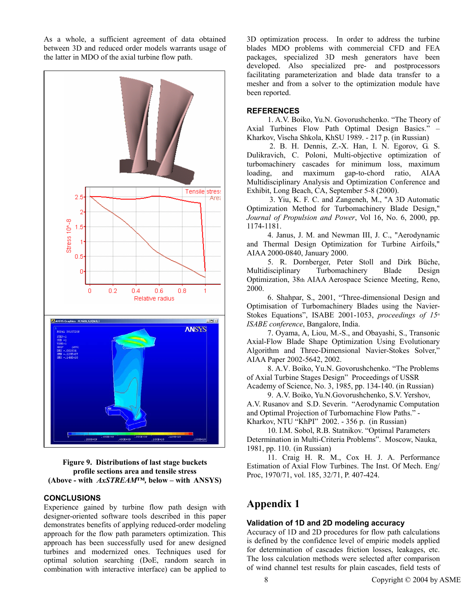As a whole, a sufficient agreement of data obtained between 3D and reduced order models warrants usage of the latter in MDO of the axial turbine flow path.



**Figure 9. Distributions of last stage buckets profile sections area and tensile stress (Above - with** *AxSTREAM™,* **below – with ANSYS)** 

#### **CONCLUSIONS**

Experience gained by turbine flow path design with designer-oriented software tools described in this paper demonstrates benefits of applying reduced-order modeling approach for the flow path parameters optimization. This approach has been successfully used for anew designed turbines and modernized ones. Techniques used for optimal solution searching (DoE, random search in combination with interactive interface) can be applied to 3D optimization process. In order to address the turbine blades MDO problems with commercial CFD and FEA packages, specialized 3D mesh generators have been developed. Also specialized pre- and postprocessors facilitating parameterization and blade data transfer to a mesher and from a solver to the optimization module have been reported.

# **REFERENCES**

1. A.V. Boiko, Yu.N. Govorushchenko. "The Theory of Axial Turbines Flow Path Optimal Design Basics." – Kharkov, Vischa Shkola, KhSU 1989. - 217 p. (in Russian)

 2. B. H. Dennis, Z.-X. Han, I. N. Egorov, G. S. Dulikravich, C. Poloni, Multi-objective optimization of turbomachinery cascades for minimum loss, maximum loading, and maximum gap-to-chord ratio, AIAA Multidisciplinary Analysis and Optimization Conference and Exhibit, Long Beach, CA, September 5-8 (2000).

 3. Yiu, K. F. C. and Zangeneh, M., "A 3D Automatic Optimization Method for Turbomachinery Blade Design," *Journal of Propulsion and Power*, Vol 16, No. 6, 2000, pp. 1174-1181.

4. Janus, J. M. and Newman III, J. C., "Aerodynamic and Thermal Design Optimization for Turbine Airfoils," AIAA 2000-0840, January 2000.

5. R. Dornberger, Peter Stoll and Dirk Büche, Multidisciplinary Turbomachinery Blade Design Optimization, 38th AIAA Aerospace Science Meeting, Reno, 2000.

6. Shahpar, S., 2001, "Three-dimensional Design and Optimisation of Turbomachinery Blades using the Navier-Stokes Equations", ISABE 2001-1053, *proceedings of 15<sup>th</sup> ISABE conference*, Bangalore, India.

7. Oyama, A, Liou, M.-S., and Obayashi, S., Transonic Axial-Flow Blade Shape Optimization Using Evolutionary Algorithm and Three-Dimensional Navier-Stokes Solver," AIAA Paper 2002-5642, 2002.

8. A.V. Boiko, Yu.N. Govorushchenko. "The Problems of Axial Turbine Stages Design" Proceedings of USSR Academy of Science, No. 3, 1985, pp. 134-140. (in Russian)

9. A.V. Boiko, Yu.N.Govorushchenko, S.V. Yershov, A.V. Rusanov and S.D. Severin. "Aerodynamic Computation and Optimal Projection of Turbomachine Flow Paths." - Kharkov, NTU "KhPI" 2002. - 356 p. (in Russian)

10. I.M. Sobol, R.B. Statnikov. "Optimal Parameters Determination in Multi-Criteria Problems". Moscow, Nauka, 1981, pp. 110. (in Russian)

11. Craig H. R. M., Cox H. J. A. Performance Estimation of Axial Flow Turbines. The Inst. Of Mech. Eng/ Proc, 1970/71, vol. 185, 32/71, P. 407-424.

# **Appendix 1**

# **Validation of 1D and 2D modeling accuracy**

Accuracy of 1D and 2D procedures for flow path calculations is defined by the confidence level of empiric models applied for determination of cascades friction losses, leakages, etc. The loss calculation methods were selected after comparison of wind channel test results for plain cascades, field tests of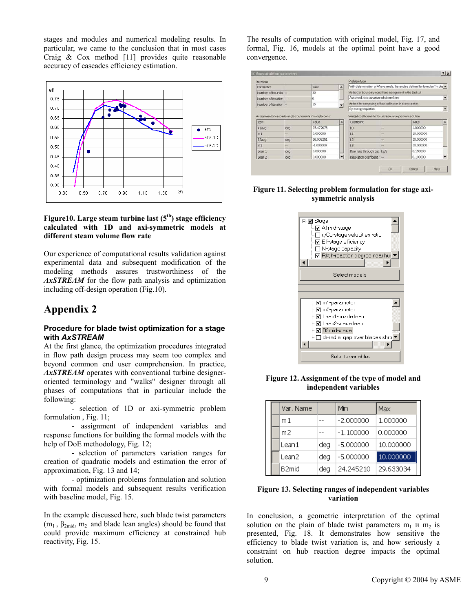stages and modules and numerical modeling results. In particular, we came to the conclusion that in most cases Craig & Cox method [11] provides quite reasonable accuracy of cascades efficiency estimation.



# **Figure10. Large steam turbine last (5th) stage efficiency calculated with 1D and axi-symmetric models at different steam volume flow rate**

Our experience of computational results validation against experimental data and subsequent modification of the modeling methods assures trustworthiness of the *AxSTREAM* for the flow path analysis and optimization including off-design operation (Fig.10).

# **Appendix 2**

# **Procedure for blade twist optimization for a stage with** *AxSTREAM*

At the first glance, the optimization procedures integrated in flow path design process may seem too complex and beyond common end user comprehension. In practice, *AxSTREAM* operates with conventional turbine designeroriented terminology and "walks" designer through all phases of computations that in particular include the following:

 - selection of 1D or axi-symmetric problem formulation , Fig. 11;

 - assignment of independent variables and response functions for building the formal models with the help of DoE methodology, Fig. 12;

 - selection of parameters variation ranges for creation of quadratic models and estimation the error of approximation, Fig. 13 and 14;

 - optimization problems formulation and solution with formal models and subsequent results verification with baseline model, Fig. 15.

In the example discussed here, such blade twist parameters  $(m_1, \beta_{2mid}, m_2)$  and blade lean angles) should be found that could provide maximum efficiency at constrained hub reactivity, Fig. 15.

The results of computation with original model, Fig. 17, and formal, Fig. 16, models at the optimal point have a good convergence.

| heretions                |             |                                                         |                                                          | Problem type       |                                                                                                                                                                                  |  |  |
|--------------------------|-------------|---------------------------------------------------------|----------------------------------------------------------|--------------------|----------------------------------------------------------------------------------------------------------------------------------------------------------------------------------|--|--|
|                          | Value       | $\blacktriangle$                                        |                                                          |                    |                                                                                                                                                                                  |  |  |
| Number of bounda -       | 30          |                                                         | Method of boundary conditions assignment in the 2nd cut  |                    |                                                                                                                                                                                  |  |  |
| Number of iteration $ -$ | ō           |                                                         |                                                          |                    | $\overline{\phantom{a}}$                                                                                                                                                         |  |  |
| Number of iteration -    | 10          |                                                         | Method for computing of flow inclination in skew section |                    |                                                                                                                                                                                  |  |  |
|                          |             |                                                         |                                                          | By energy equation |                                                                                                                                                                                  |  |  |
|                          |             |                                                         |                                                          |                    |                                                                                                                                                                                  |  |  |
|                          | Value       | ۰                                                       | Coeffitient                                              |                    | Vakan<br>$\hat{z}$                                                                                                                                                               |  |  |
| deg                      | 25.477673   |                                                         | LO                                                       | $\sim$             | 1,000000                                                                                                                                                                         |  |  |
| $-$                      | 0.000000    |                                                         | L1                                                       | ÷                  | 10.000000                                                                                                                                                                        |  |  |
| deg                      | 26.908251   |                                                         | L2                                                       | -                  | 10.000000                                                                                                                                                                        |  |  |
| $\overline{a}$           | $-1.000000$ |                                                         | L3                                                       | -                  | 10.000000                                                                                                                                                                        |  |  |
| deg                      | 0.000000    |                                                         | Flow rate through bac kg/s                               |                    | 0.150000                                                                                                                                                                         |  |  |
|                          |             | ×.                                                      | Relaxation coefficient ' -                               |                    | 0.100000<br>×                                                                                                                                                                    |  |  |
|                          |             | Assignment of cascade angles by formula r m ctgB=const. | ×                                                        |                    | With determination of A1 avg angle, the angles defined by formula r^m ctg ><br>Assumed zero curvature at streamlines<br>Weight coefficients for boundary-value problem solution. |  |  |

**Figure 11. Selecting problem formulation for stage axisymmetric analysis** 



# **Figure 12. Assignment of the type of model and independent variables**

| Var. Name          |     | Min         | Max       |
|--------------------|-----|-------------|-----------|
| m 1                |     | $-2.000000$ | 1.000000  |
| m2                 |     | $-1.100000$ | 0.000000  |
| Lean1              | dea | $-5.000000$ | 10.000000 |
| Lean2              | dea | $-5,000000$ | 10.000000 |
| B <sub>2</sub> mid | dea | 24.245210   | 29.633034 |

#### **Figure 13. Selecting ranges of independent variables variation**

In conclusion, a geometric interpretation of the optimal solution on the plain of blade twist parameters  $m_1$   $\mu$  m<sub>2</sub> is presented, Fig. 18. It demonstrates how sensitive the efficiency to blade twist variation is, and how seriously a constraint on hub reaction degree impacts the optimal solution.